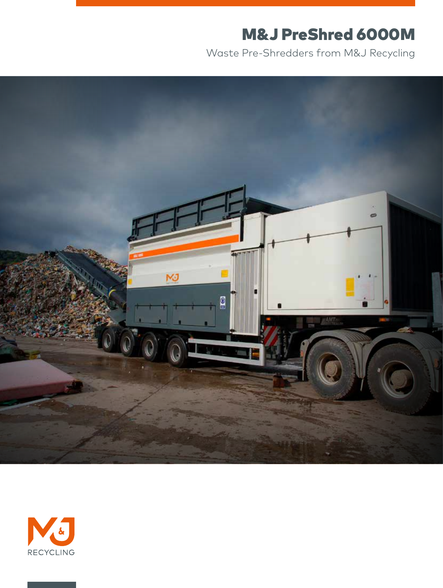# M&J PreShred 6000M

Waste Pre-Shredders from M&J Recycling



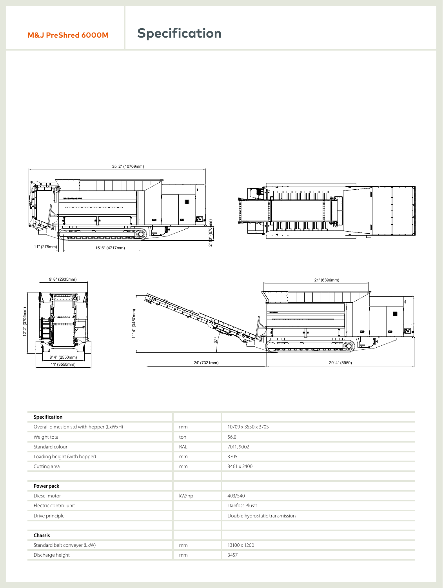## **M&J PreShred 6000M Specification**





| Specification                            |       |                                 |  |
|------------------------------------------|-------|---------------------------------|--|
| Overall dimesion std with hopper (LxWxH) | mm    | 10709 x 3550 x 3705             |  |
| Weight total                             | ton   | 56.0                            |  |
| Standard colour                          | RAL   | 7011, 9002                      |  |
| Loading height (with hopper)             | mm    | 3705                            |  |
| Cutting area                             | mm    | 3461 x 2400                     |  |
|                                          |       |                                 |  |
| Power pack                               |       |                                 |  |
| Diesel motor                             | kW/hp | 403/540                         |  |
| Electric control unit                    |       | Danfoss Plus <sup>+1</sup>      |  |
| Drive principle                          |       | Double hydrostatic transmission |  |
|                                          |       |                                 |  |
| <b>Chassis</b>                           |       |                                 |  |
| Standard belt conveyer (LxW)             | mm    | 13100 x 1200                    |  |
| Discharge height                         | mm    | 3457                            |  |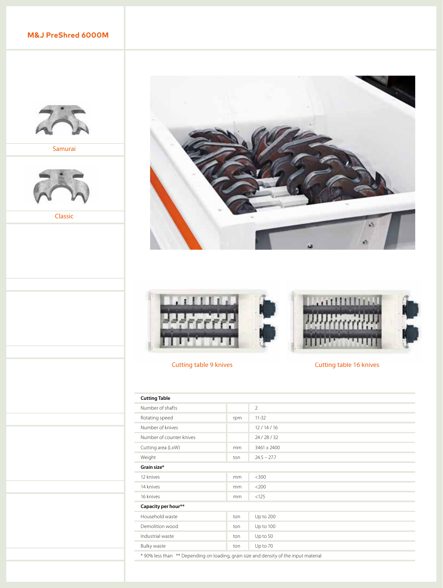**M&J PreShred 6000M** 



Samurai



Classic





### Cutting table 9 knives Cutting table 16 knives

| <b>Cutting Table</b>                                                                  |     |               |  |  |
|---------------------------------------------------------------------------------------|-----|---------------|--|--|
| Number of shafts                                                                      |     | 2             |  |  |
| Rotating speed                                                                        | rpm | $11 - 32$     |  |  |
| Number of knives                                                                      |     | 12/14/16      |  |  |
| Number of counter knives                                                              |     | 24/28/32      |  |  |
| Cutting area (LxW)                                                                    | mm  | 3461 x 2400   |  |  |
| Weight                                                                                | ton | $24.5 - 27.7$ |  |  |
| Grain size*                                                                           |     |               |  |  |
| 12 knives                                                                             | mm  | $<$ 300       |  |  |
| 14 knives                                                                             | mm  | $<$ 200       |  |  |
| 16 knives                                                                             | mm  | < 125         |  |  |
| Capacity per hour**                                                                   |     |               |  |  |
| Household waste                                                                       | ton | Up to 200     |  |  |
| Demolition wood                                                                       | ton | Up to 100     |  |  |
| Industrial waste                                                                      | ton | Up to 50      |  |  |
| Bulky waste                                                                           | ton | Up to 70      |  |  |
| * 90% less than ** Depending on loading, grain size and density of the input material |     |               |  |  |